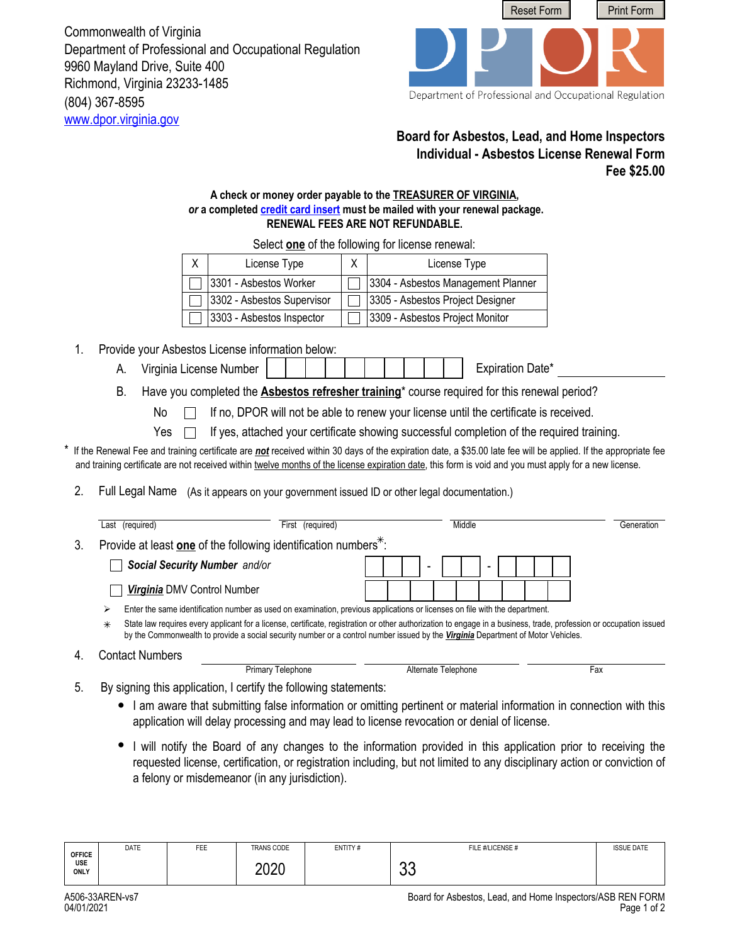(804) 367-8595 <www.dpor.virginia.gov> Commonwealth of Virginia Department of Professional and Occupational Regulation 9960 Mayland Drive, Suite 400 Richmond, Virginia 23233-1485



Department of Professional and Occupational Regulation

## **Board for Asbestos, Lead, and Home Inspectors Individual - Asbestos License Renewal Form Fee \$25.00**

 $\Box$ 

## **A check or money order payable to the TREASURER OF VIRGINIA,**  *or* **a completed [credit card insert](http://www.dpor.virginia.gov/uploadedFiles/MainSite/Content/FormsandApplications/A406-CREDITCARD.pdf) must be mailed with your renewal package. RENEWAL FEES ARE NOT REFUNDABLE.**

| License Type               | License Type                       |
|----------------------------|------------------------------------|
| 3301 - Asbestos Worker     | 3304 - Asbestos Management Planner |
| 3302 - Asbestos Supervisor | 3305 - Asbestos Project Designer   |
| 3303 - Asbestos Inspector  | 3309 - Asbestos Project Monitor    |

Select **one** of the following for license renewal:

- 1. Provide your Asbestos License information below:
	- A. Virginia License Number Expiration Date\*
	- B. Have you completed the **Asbestos refresher training**\* course required for this renewal period?

No If no, DPOR will not be able to renew your license until the certificate is received.

Yes  $\Box$ If yes, attached your certificate showing successful completion of the required training.

If the Renewal Fee and training certificate are *not* received within 30 days of the expiration date, a \$35.00 late fee will be applied. If the appropriate fee and training certificate are not received within twelve months of the license expiration date, this form is void and you must apply for a new license.

2. Full Legal Name (As it appears on your government issued ID or other legal documentation.)

|    | Last (required)               | (required)<br>First                                                         | Middle                                                                                                                                                                                                                                                                                                 | Generation |
|----|-------------------------------|-----------------------------------------------------------------------------|--------------------------------------------------------------------------------------------------------------------------------------------------------------------------------------------------------------------------------------------------------------------------------------------------------|------------|
| 3. |                               | Provide at least one of the following identification numbers <sup>*</sup> : |                                                                                                                                                                                                                                                                                                        |            |
|    | Social Security Number and/or |                                                                             | $\overline{\phantom{0}}$                                                                                                                                                                                                                                                                               |            |
|    | Virginia DMV Control Number   |                                                                             |                                                                                                                                                                                                                                                                                                        |            |
|    | ⋗                             |                                                                             | Enter the same identification number as used on examination, previous applications or licenses on file with the department.                                                                                                                                                                            |            |
|    | $\ast$                        |                                                                             | State law requires every applicant for a license, certificate, registration or other authorization to engage in a business, trade, profession or occupation issued<br>by the Commonwealth to provide a social security number or a control number issued by the Virginia Department of Motor Vehicles. |            |
|    | <b>Contact Numbers</b>        |                                                                             |                                                                                                                                                                                                                                                                                                        |            |
|    |                               | Primary Telephone                                                           | Alternate Telephone                                                                                                                                                                                                                                                                                    | Fax        |

- 5. By signing this application, I certify the following statements:
	- I am aware that submitting false information or omitting pertinent or material information in connection with this application will delay processing and may lead to license revocation or denial of license.
	- I will notify the Board of any changes to the information provided in this application prior to receiving the requested license, certification, or registration including, but not limited to any disciplinary action or conviction of a felony or misdemeanor (in any jurisdiction).

| <b>OFFICE</b>      | <b>DATE</b> | FEE | TRANS CODE | ENTITY# | FILE #/LICENSE # | <b>ISSUE DATE</b> |
|--------------------|-------------|-----|------------|---------|------------------|-------------------|
| USE<br><b>ONLY</b> |             |     | 2020       |         | $\sim$<br>◡◡     |                   |

4.